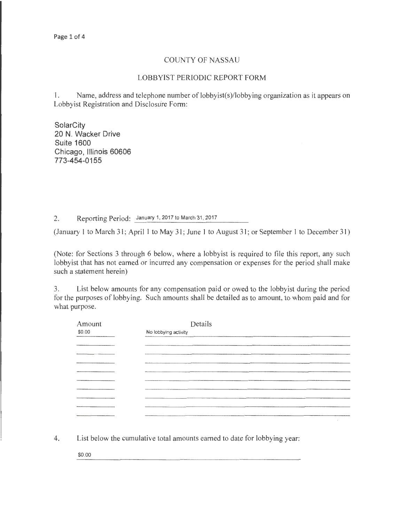## COUNTY OF NASSAU

## LOBBYIST PERIODIC REPORT FORM

1. Name, address and telephone number of lobbyist(s)/lobbying organization as it appears on Lobbyist Registration and Disclosure Form:

**SolarCity 20 N. Wacker Drive Suite 1600 Chicago, Illinois 60606 773-454-0155** 

2. Reporting Period: January 1, 2017 to March 31, 2017

(January 1 to March 31; April 1 to May 31; June 1 to August 31; or September 1 to December 31)

(Note: for Sections 3 through 6 below, where a lobbyist is required to file this report, any such lobbyist that has not earned or incurred any compensation or expenses for the period shall make such a statement herein)

3. List below amounts for any compensation paid or owed to the lobbyist during the period for the purposes of lobbying. Such amounts shall be detailed as to amount, to whom paid and for what purpose.

| Amount                           | Details                           |
|----------------------------------|-----------------------------------|
| \$0.00                           | No lobbying activity              |
|                                  |                                   |
|                                  |                                   |
| the company's company's property |                                   |
|                                  |                                   |
|                                  |                                   |
|                                  |                                   |
|                                  |                                   |
|                                  |                                   |
|                                  |                                   |
|                                  |                                   |
|                                  | <b>Contract Contract Contract</b> |

4. List below the cumulative total amounts earned to date for lobbying year:

\$0.00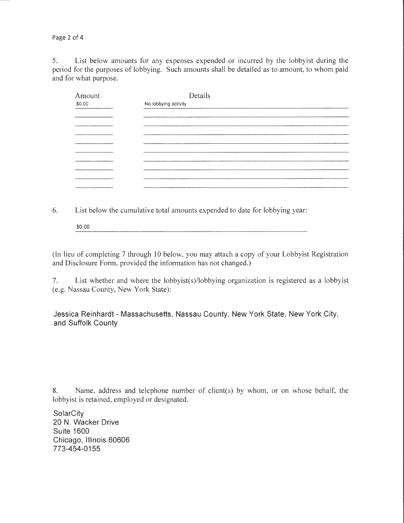Page 2 of 4

5. List below amounts for any expenses expended or incurred by the lobbyist during the period for the purposes of lobbying. Such amounts shall be detailed as to amount, to whom paid and for what purpose.

| Amount | Details              |  |  |  |  |
|--------|----------------------|--|--|--|--|
| \$0.00 | No lobbying activity |  |  |  |  |
|        | _________            |  |  |  |  |
|        |                      |  |  |  |  |
|        |                      |  |  |  |  |
|        |                      |  |  |  |  |
|        |                      |  |  |  |  |
|        |                      |  |  |  |  |
|        |                      |  |  |  |  |
|        |                      |  |  |  |  |
|        |                      |  |  |  |  |
|        |                      |  |  |  |  |

6. List below the cumulative total amounts expended to date for lobbying year:

\$0.00

(In lieu of completing 7 through 10 below, you may attach a copy of your Lobbyist Registration and Disclosure Form, provided the information has not changed.)

7. List whether and where the lobbyist(s)/lobbying organization is registered as a lobbyist (e.g. Nassau County, New York State):

**Jessica Reinhardt- Massachusetts, Nassau County, New York State, New York City, and Suffolk County** 

8. Name, address and telephone number of client(s) by whom, or on whose behalf, the lobbyist is retained, employed or designated.

**SolarCity 20 N. Wacker Drive Suite 1600 Chicago, Illinois 60606 773-454-0155**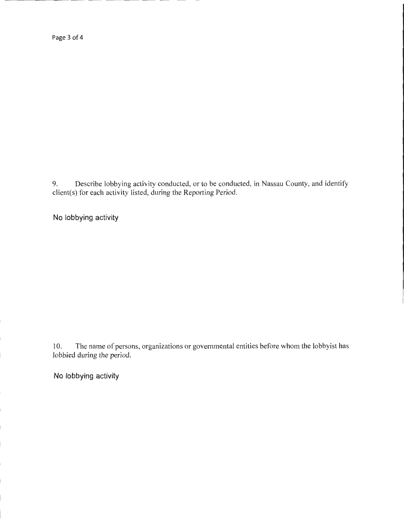Page 3 of 4

9. Describe lobbying activity conducted, or to be conducted, in Nassau County, and identify client(s) for each activity listed, during the Reporting Period.

**No lobbying activity** 

10. The name of persons, organizations or governmental entities before whom the lobbyist has lobbied during the period.

**No lobbying activity**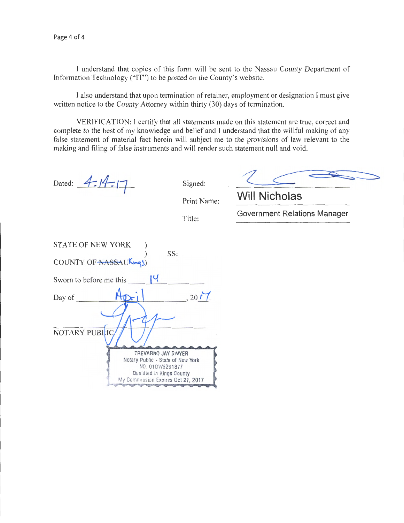I understand that copies of this form will be sent to the Nassau County Department of Information Technology ("IT") to be posted on the County's website.

I also understand that upon termination of retainer, employment or designation I must give written notice to the County Attorney within thirty (30) days of termination.

VERIFICATION: I certify that all statements made on this statement are true, correct and complete to the best of my knowledge and belief and I understand that the willful making of any false statement of material fact herein will subject me to the provisions of law relevant to the making and filing of false instruments and will render such statement null and void.

Dated:  $4:14:17$  Signed:

Print Name: **Will Nicholas** 

Title: Government Relations Manager

| <b>STATE OF NEW YORK</b><br>SS:              |
|----------------------------------------------|
| COUNTY OF NASSAUKings)                       |
| ાપ<br>Sworn to before me this                |
| , 2017.<br>Day of                            |
|                                              |
| NOTARY PUBLIC                                |
| TREVARNO JAY DWYER                           |
| Notary Public - State of New York            |
| NO. 01DW6291877<br>Qualified in Kings County |
| My Commission Expires Oct 21, 2017           |
|                                              |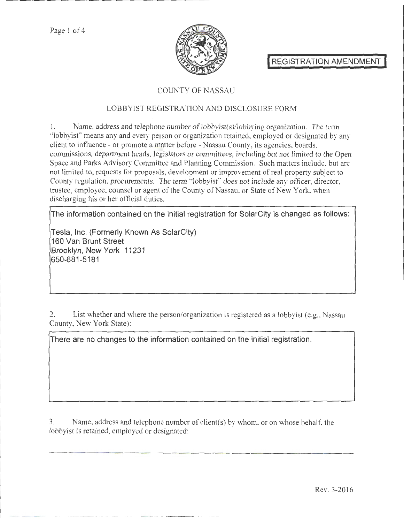Page 1 of 4



REGISTRATION AMENDMENT

# COUNTY OF NASSAU

## LOBBYIST REGISTRATION AND DISCLOSURE FORM

1. Name, address and telephone number of lobbyist(s)/lobbying organization. The term "lobbyist" means any and every person or organization retained, employed or designated by any client to influence- or promote a matter before- Nassau County, its agencies, boards, commissions, department heads, legislators or committees, including but not limited to the Open Space and Parks Advisory Committee and Planning Commission. Such matters include, but arc not limited to, requests for proposals, development or improvement of real property subject to County regulation, procurements. The term "lobbyist" does not include any officer, director, trustee, employee, counsel or agent of the County of Nassau, or State of New York, when discharging his or her official duties.

The information contained on the initial registration for SolarCity is changed as follows:

Tesla, Inc. (Formerly Known As SolarCity) 160 Van Brunt Street Brooklyn, New York 11231 650-681-5181

2. List whether and where the person/organization is registered as a lobbyist (e.g., Nassau County, New York State):

There are no changes to the information contained on the initial registration.

3. Name, address and telephone number of client(s) by whom, or on whose behalf, the lobbyist is retained, employed or designated: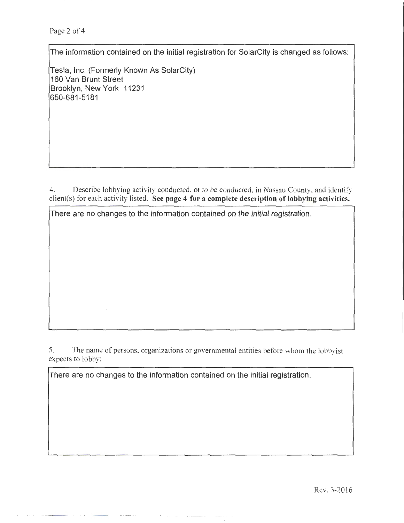Page 2 of 4

The information contained on the initial registration for SolarCity is changed as follows:

Tesla, Inc. (Formerly Known As SolarCity) 160 Van Brunt Street Brooklyn, New York 11231 650-681 -5181

4. Describe lobbying activity conducted, or to be conducted, in Nassau County, and identify client(s) for each activity listed. See page 4 for a complete description of lobbying activities.

There are no changes to the information contained on the initial registration .

5. The name of persons, organizations or governmental entities before whom the lobbyist expects to lobby:

There are no changes to the information contained on the initial registration.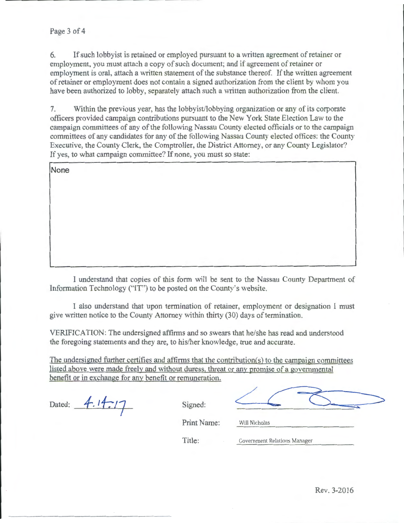## Page 3 of 4

6. If such lobbyist is retained or employed pursuant to a written agreement of retainer or employment, you must attach a copy of such document; and if agreement of retainer or employment is oral, attach a written statement of the substance thereof. If the written agreement of retainer or employment does not contain a signed authorization from the client by whom you have been authorized to lobby, separately attach such a written authorization from the client.

7. Within the previous year, has the lobbyist/lobbying organization or any of its corporate officers provided campaign contributions pursuant to the New York State Election Law to the campaign committees of any of the following Nassau County elected officials or to the campaign committees of any candidates for any of the following Nassau County elected offices: the County Executive, the County Clerk, the Comptroller, the District Attorney, or any County Legislator? If yes, to what campaign committee? If none, you must so state:

I understand that copies of this form will be sent to the Nassau County Department of Information Technology ("IT") to be posted on the County's website.

I also understand that upon termination of retainer, employment or designation I must give written notice to the County Attorney within thirty (30) days of termination.

VERIFICATION: The undersigned affirms and so swears that he/she has read and understood the foregoing statements and they are, to his/her knowledge, true and accurate.

The undersigned further certifies and affirms that the contribution(s) to the campaign committees listed above were made freely and without duress, threat or any promise of a governmental benefit or in exchange for any benefit or remuneration.

Dated: 4.14.17 Signed:

Print Name: Will Nicholas

Title: Government Relations Manager